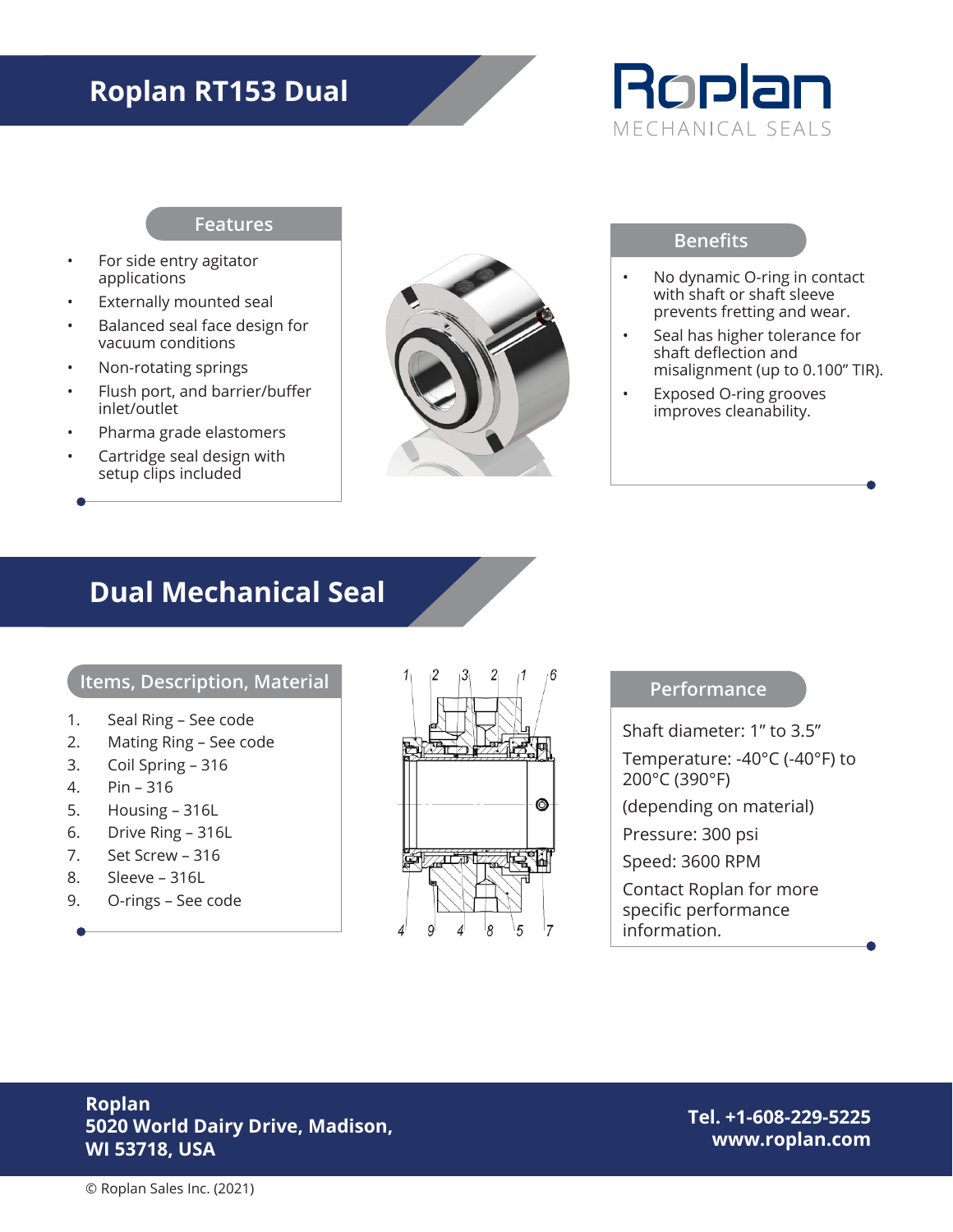## **Roplan RT153 Dual**



#### **Features**

- For side entry agitator applications
- Externally mounted seal
- Balanced seal face design for vacuum conditions
- Non-rotating springs
- Flush port, and barrier/buffer inlet/outlet
- Pharma grade elastomers
- Cartridge seal design with setup clips included



#### **Benefits**

- No dynamic O-ring in contact with shaft or shaft sleeve prevents fretting and wear.
- Seal has higher tolerance for shaft deflection and misalignment (up to 0.100" TIR).
- Exposed O-ring grooves improves cleanability.

### **Dual Mechanical Seal**

#### **Items, Description, Material**

- 1. Seal Ring See code
- 2. Mating Ring See code
- 3. Coil Spring 316
- 4. Pin 316
- 5. Housing 316L
- 6. Drive Ring 316L
- 7. Set Screw 316
- 8. Sleeve 316L
- 9. O-rings See code



**Performance**

Shaft diameter: 1" to 3.5"

Temperature: -40°C (-40°F) to 200°C (390°F)

(depending on material)

Pressure: 300 psi

Speed: 3600 RPM

Contact Roplan for more specific performance information.

### **Roplan 5020 World Dairy Drive, Madison, WI 53718, USA**

**Tel. +1-608-229-5225 www.roplan.com**